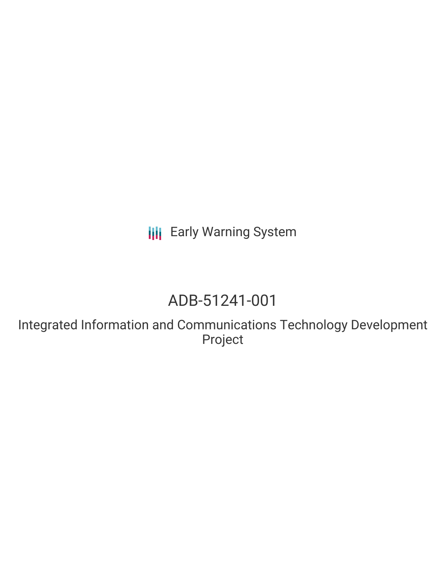**III** Early Warning System

# ADB-51241-001

Integrated Information and Communications Technology Development Project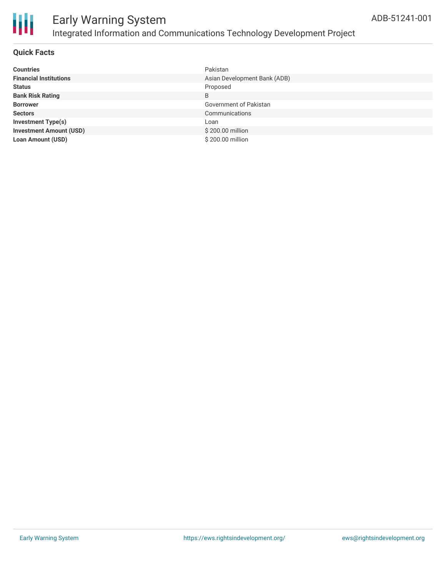

#### **Quick Facts**

| <b>Countries</b>               | Pakistan                     |
|--------------------------------|------------------------------|
| <b>Financial Institutions</b>  | Asian Development Bank (ADB) |
| <b>Status</b>                  | Proposed                     |
| <b>Bank Risk Rating</b>        | B                            |
| <b>Borrower</b>                | Government of Pakistan       |
| <b>Sectors</b>                 | Communications               |
| <b>Investment Type(s)</b>      | Loan                         |
| <b>Investment Amount (USD)</b> | \$200.00 million             |
| <b>Loan Amount (USD)</b>       | \$200,00 million             |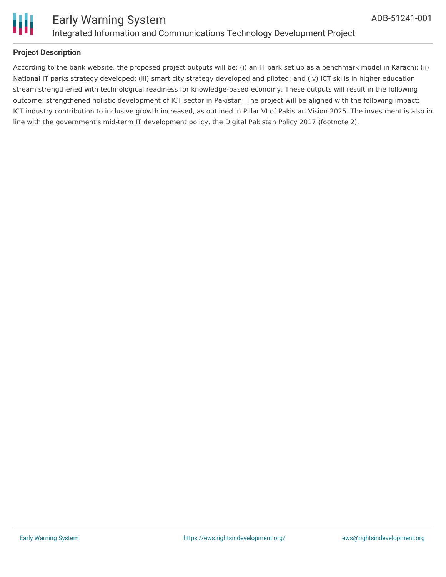

### **Project Description**

According to the bank website, the proposed project outputs will be: (i) an IT park set up as a benchmark model in Karachi; (ii) National IT parks strategy developed; (iii) smart city strategy developed and piloted; and (iv) ICT skills in higher education stream strengthened with technological readiness for knowledge-based economy. These outputs will result in the following outcome: strengthened holistic development of ICT sector in Pakistan. The project will be aligned with the following impact: ICT industry contribution to inclusive growth increased, as outlined in Pillar VI of Pakistan Vision 2025. The investment is also in line with the government's mid-term IT development policy, the Digital Pakistan Policy 2017 (footnote 2).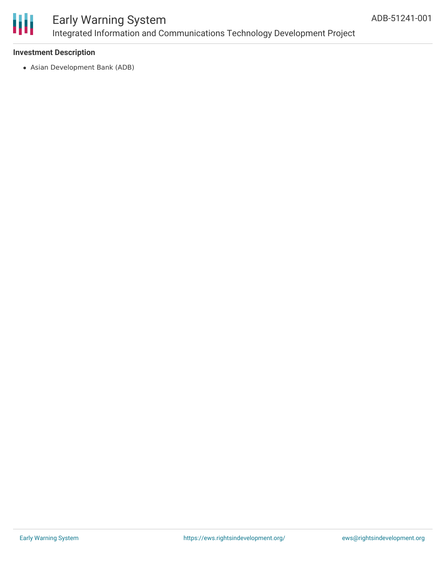

## Early Warning System Integrated Information and Communications Technology Development Project

#### **Investment Description**

Asian Development Bank (ADB)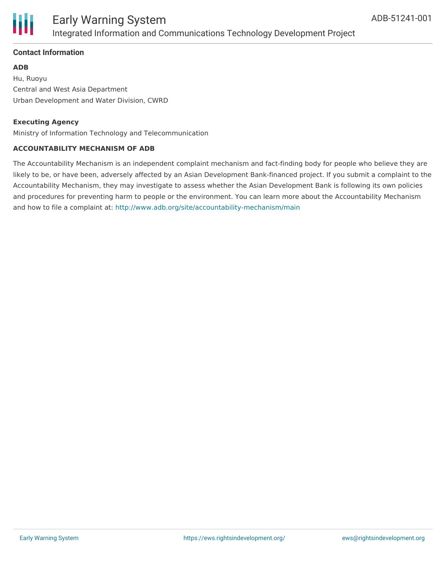

### **Contact Information**

#### **ADB**

Hu, Ruoyu Central and West Asia Department Urban Development and Water Division, CWRD

#### **Executing Agency**

Ministry of Information Technology and Telecommunication

#### **ACCOUNTABILITY MECHANISM OF ADB**

The Accountability Mechanism is an independent complaint mechanism and fact-finding body for people who believe they are likely to be, or have been, adversely affected by an Asian Development Bank-financed project. If you submit a complaint to the Accountability Mechanism, they may investigate to assess whether the Asian Development Bank is following its own policies and procedures for preventing harm to people or the environment. You can learn more about the Accountability Mechanism and how to file a complaint at: <http://www.adb.org/site/accountability-mechanism/main>